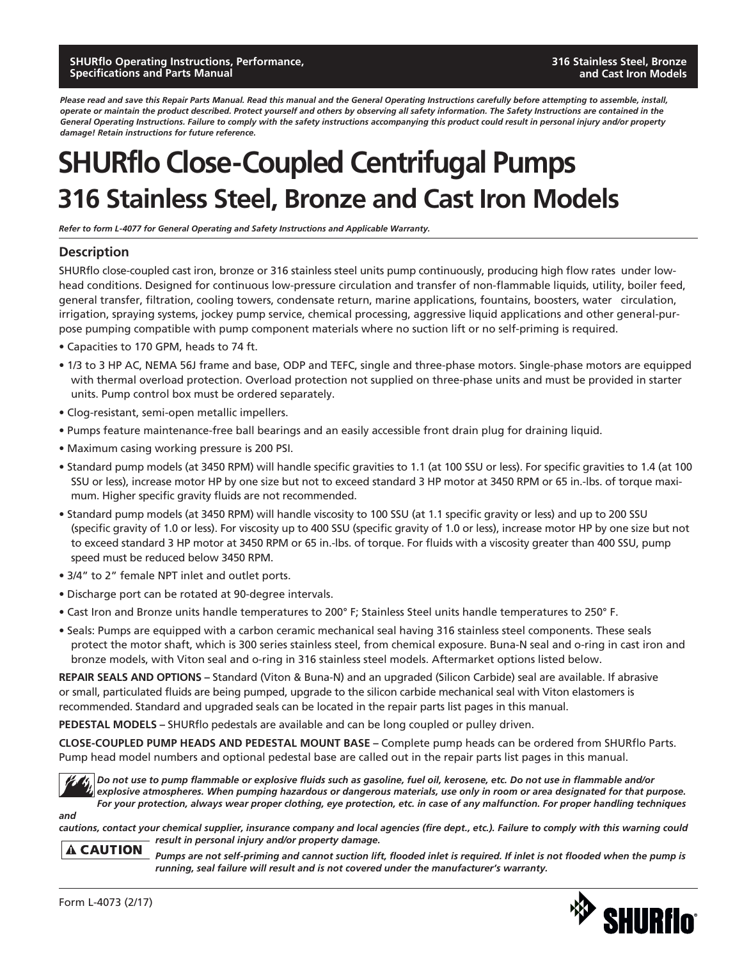*Please read and save this Repair Parts Manual. Read this manual and the General Operating Instructions carefully before attempting to assemble, install, operate or maintain the product described. Protect yourself and others by observing all safety information. The Safety Instructions are contained in the General Operating Instructions. Failure to comply with the safety instructions accompanying this product could result in personal injury and/or property damage! Retain instructions for future reference.*

## **SHURflo Close-Coupled Centrifugal Pumps 316 Stainless Steel, Bronze and Cast Iron Models**

*Refer to form L-4077 for General Operating and Safety Instructions and Applicable Warranty.*

### **Description**

SHURflo close-coupled cast iron, bronze or 316 stainless steel units pump continuously, producing high flow rates under lowhead conditions. Designed for continuous low-pressure circulation and transfer of non-flammable liquids, utility, boiler feed, general transfer, filtration, cooling towers, condensate return, marine applications, fountains, boosters, water circulation, irrigation, spraying systems, jockey pump service, chemical processing, aggressive liquid applications and other general-purpose pumping compatible with pump component materials where no suction lift or no self-priming is required.

- Capacities to 170 GPM, heads to 74 ft.
- 1/3 to 3 HP AC, NEMA 56J frame and base, ODP and TEFC, single and three-phase motors. Single-phase motors are equipped with thermal overload protection. Overload protection not supplied on three-phase units and must be provided in starter units. Pump control box must be ordered separately.
- Clog-resistant, semi-open metallic impellers.
- Pumps feature maintenance-free ball bearings and an easily accessible front drain plug for draining liquid.
- Maximum casing working pressure is 200 PSI.
- Standard pump models (at 3450 RPM) will handle specific gravities to 1.1 (at 100 SSU or less). For specific gravities to 1.4 (at 100 SSU or less), increase motor HP by one size but not to exceed standard 3 HP motor at 3450 RPM or 65 in.-lbs. of torque maximum. Higher specific gravity fluids are not recommended.
- Standard pump models (at 3450 RPM) will handle viscosity to 100 SSU (at 1.1 specific gravity or less) and up to 200 SSU (specific gravity of 1.0 or less). For viscosity up to 400 SSU (specific gravity of 1.0 or less), increase motor HP by one size but not to exceed standard 3 HP motor at 3450 RPM or 65 in.-lbs. of torque. For fluids with a viscosity greater than 400 SSU, pump speed must be reduced below 3450 RPM.
- 3/4" to 2" female NPT inlet and outlet ports.
- Discharge port can be rotated at 90-degree intervals.
- Cast Iron and Bronze units handle temperatures to 200° F; Stainless Steel units handle temperatures to 250° F.
- Seals: Pumps are equipped with a carbon ceramic mechanical seal having 316 stainless steel components. These seals protect the motor shaft, which is 300 series stainless steel, from chemical exposure. Buna-N seal and o-ring in cast iron and bronze models, with Viton seal and o-ring in 316 stainless steel models. Aftermarket options listed below.

**REPAIR SEALS AND OPTIONS –** Standard (Viton & Buna-N) and an upgraded (Silicon Carbide) seal are available. If abrasive or small, particulated fluids are being pumped, upgrade to the silicon carbide mechanical seal with Viton elastomers is recommended. Standard and upgraded seals can be located in the repair parts list pages in this manual.

**PEDESTAL MODELS –** SHURflo pedestals are available and can be long coupled or pulley driven.

**CLOSE-COUPLED PUMP HEADS AND PEDESTAL MOUNT BASE –** Complete pump heads can be ordered from SHURflo Parts. Pump head model numbers and optional pedestal base are called out in the repair parts list pages in this manual.



*and* 

*Do not use to pump flammable or explosive fluids such as gasoline, fuel oil, kerosene, etc. Do not use in flammable and/or explosive atmospheres. When pumping hazardous or dangerous materials, use only in room or area designated for that purpose. For your protection, always wear proper clothing, eye protection, etc. in case of any malfunction. For proper handling techniques* 

*cautions, contact your chemical supplier, insurance company and local agencies (fire dept., etc.). Failure to comply with this warning could result in personal injury and/or property damage.*

**A CAUTION** 

*Pumps are not self-priming and cannot suction lift, flooded inlet is required. If inlet is not flooded when the pump is running, seal failure will result and is not covered under the manufacturer's warranty.*

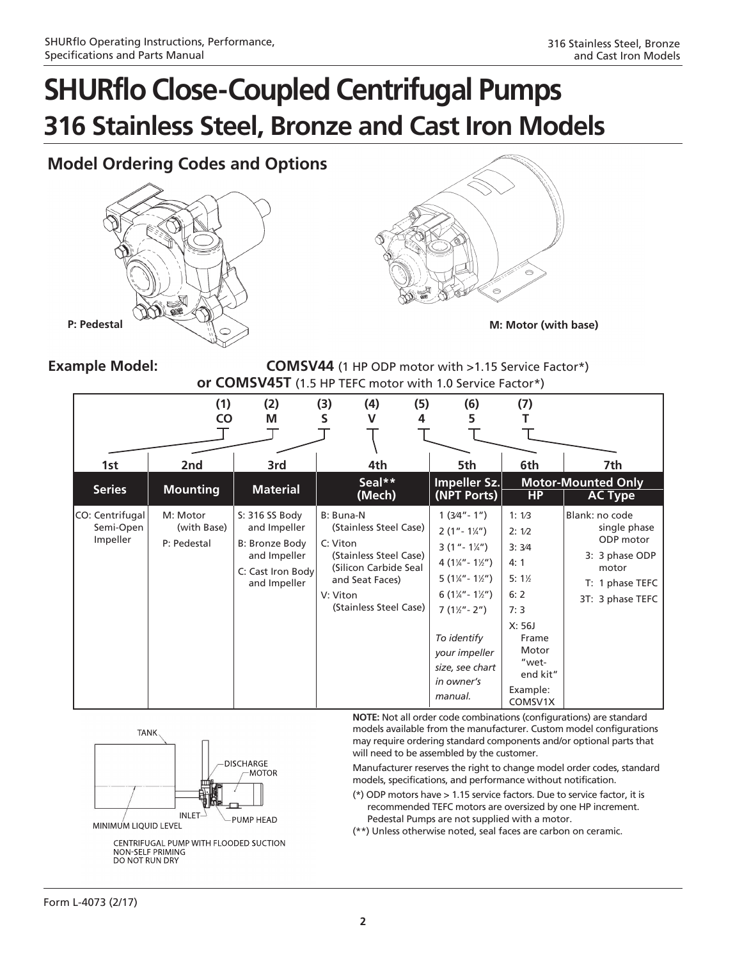### **Model Ordering Codes and Options**





**Example Model: COMSV44** (1 HP ODP motor with >1.15 Service Factor\*) **or COMSV45T** (1.5 HP TEFC motor with 1.0 Service Factor\*)

|                                          | (1)<br><b>CO</b>                       | (2)<br>M                                                                                              | (3)<br>S                          | (4)<br>v                                                                                                               | (5)<br>4 | (6)<br>5                                                                                                                                                                                                                                                                                            | (7)                                                                                                                             |                                                                                                               |
|------------------------------------------|----------------------------------------|-------------------------------------------------------------------------------------------------------|-----------------------------------|------------------------------------------------------------------------------------------------------------------------|----------|-----------------------------------------------------------------------------------------------------------------------------------------------------------------------------------------------------------------------------------------------------------------------------------------------------|---------------------------------------------------------------------------------------------------------------------------------|---------------------------------------------------------------------------------------------------------------|
| 1st                                      | 2nd                                    | 3rd                                                                                                   |                                   | 4th                                                                                                                    |          | 5th                                                                                                                                                                                                                                                                                                 | 6th                                                                                                                             | 7th                                                                                                           |
| <b>Series</b>                            | <b>Mounting</b>                        | <b>Material</b>                                                                                       |                                   | Seal**<br>(Mech)                                                                                                       |          | Impeller Sz.<br>(NPT Ports)                                                                                                                                                                                                                                                                         | <b>HP</b>                                                                                                                       | <b>Motor-Mounted Only</b><br><b>AC Type</b>                                                                   |
| CO: Centrifugal<br>Semi-Open<br>Impeller | M: Motor<br>(with Base)<br>P: Pedestal | S: 316 SS Body<br>and Impeller<br>B: Bronze Body<br>and Impeller<br>C: Cast Iron Body<br>and Impeller | B: Buna-N<br>C: Viton<br>V: Viton | (Stainless Steel Case)<br>(Stainless Steel Case)<br>(Silicon Carbide Seal<br>and Seat Faces)<br>(Stainless Steel Case) |          | $1(3/4 - 1'')$<br>$2(1 - 1\frac{1}{4})$<br>$3(1 - 1\frac{1}{4})$<br>4 $(1\frac{1}{4}$ " - $1\frac{1}{2}$ ")<br>$5(1\frac{1}{4} - 1\frac{1}{2})$<br>6 $(1\frac{1}{4}$ " - $1\frac{1}{2}$ ")<br>$7(1\frac{1}{2} - 2^{n})$<br>To identify<br>your impeller<br>size, see chart<br>in owner's<br>manual. | 1:1/3<br>2:1/2<br>3:3/4<br>4:1<br>$5:1\%$<br>6:2<br>7:3<br>X: 56J<br>Frame<br>Motor<br>"wet-<br>end kit"<br>Example:<br>COMSV1X | Blank: no code<br>single phase<br>ODP motor<br>3: 3 phase ODP<br>motor<br>T: 1 phase TEFC<br>3T: 3 phase TEFC |



CENTRIFUGAL PUMP WITH FLOODED SUCTION **NON-SELF PRIMING** DO NOT RUN DRY

**NOTE:** Not all order code combinations (configurations) are standard models available from the manufacturer. Custom model configurations may require ordering standard components and/or optional parts that will need to be assembled by the customer.

Manufacturer reserves the right to change model order codes, standard models, specifications, and performance without notification.

(\*) ODP motors have > 1.15 service factors. Due to service factor, it is recommended TEFC motors are oversized by one HP increment. Pedestal Pumps are not supplied with a motor.

(\*\*) Unless otherwise noted, seal faces are carbon on ceramic.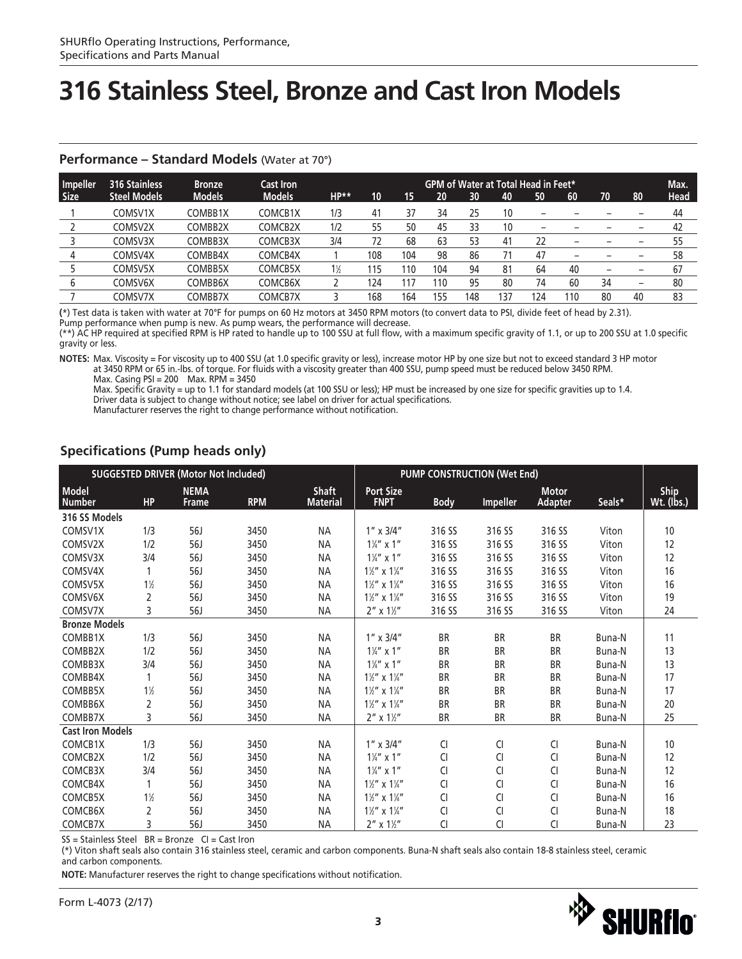| Impeller    | <b>316 Stainless</b> | <b>Bronze</b> | <b>Cast Iron</b> |       |     |      |     |     |     | <b>GPM of Water at Total Head in Feet*</b> |                          |    |    | Max.        |
|-------------|----------------------|---------------|------------------|-------|-----|------|-----|-----|-----|--------------------------------------------|--------------------------|----|----|-------------|
| <b>Size</b> | <b>Steel Models</b>  | <b>Models</b> | <b>Models</b>    | HP**  | 10  | 15   | 20  | 30  | 40  | 50                                         | 60                       | 70 | 80 | <b>Head</b> |
|             | COMSV1X              | COMBB1X       | COMCB1X          | 1/3   | 41  |      | 34  | 25  | 10  |                                            |                          |    |    | 44          |
|             | COMSV2X              | COMBB2X       | COMCB2X          | 1/2   | 55  | 50   | 45  | 33  | 10  | $\overline{\phantom{0}}$                   |                          |    |    | 42          |
|             | COMSV3X              | COMBB3X       | COMCB3X          | 3/4   | 72  | 68   | 63  | 53  | 41  | 22                                         | $\overline{\phantom{0}}$ |    |    | 55          |
|             | COMSV4X              | COMBB4X       | COMCB4X          |       | 108 | 104  | 98  | 86  | 71  | 47                                         | $\overline{\phantom{0}}$ |    |    | 58          |
|             | COMSV5X              | COMBB5X       | COMCB5X          | $1\%$ | 115 | l 10 | 104 | 94  | 81  | 64                                         | 40                       |    |    | 67          |
| b           | COMSV6X              | COMBB6X       | COMCB6X          |       | 124 |      | 110 | 95  | 80  | 74                                         | 60                       | 34 |    | 80          |
|             | COMSV7X              | COMBB7X       | COMCB7X          |       | 168 | 164  | 155 | 148 | 37، | 124                                        | 110                      | 80 | 40 | 83          |

#### **Performance – Standard Models** (Water at 70°)

**(**\*) Test data is taken with water at 70°F for pumps on 60 Hz motors at 3450 RPM motors (to convert data to PSI, divide feet of head by 2.31). Pump performance when pump is new. As pump wears, the performance will decrease.

(\*\*) AC HP required at specified RPM is HP rated to handle up to 100 SSU at full flow, with a maximum specific gravity of 1.1, or up to 200 SSU at 1.0 specific

gravity or less.

**NOTES:** Max. Viscosity = For viscosity up to 400 SSU (at 1.0 specific gravity or less), increase motor HP by one size but not to exceed standard 3 HP motor at 3450 RPM or 65 in.-lbs. of torque. For fluids with a viscosity greater than 400 SSU, pump speed must be reduced below 3450 RPM. Max. Casing PSI = 200 Max. RPM = 3450

 Max. Specific Gravity = up to 1.1 for standard models (at 100 SSU or less); HP must be increased by one size for specific gravities up to 1.4. Driver data is subject to change without notice; see label on driver for actual specifications.

Manufacturer reserves the right to change performance without notification.

### **Specifications (Pump heads only)**

|                         |                | <b>SUGGESTED DRIVER (Motor Not Included)</b> |            |                 |                                     |               | <b>PUMP CONSTRUCTION (Wet End)</b> |                |        |                   |
|-------------------------|----------------|----------------------------------------------|------------|-----------------|-------------------------------------|---------------|------------------------------------|----------------|--------|-------------------|
| <b>Model</b>            |                | <b>NEMA</b>                                  |            | <b>Shaft</b>    | <b>Port Size</b>                    |               |                                    | <b>Motor</b>   |        | Ship              |
| <b>Number</b>           | <b>HP</b>      | <b>Frame</b>                                 | <b>RPM</b> | <b>Material</b> | <b>FNPT</b>                         | <b>Body</b>   | <b>Impeller</b>                    | <b>Adapter</b> | Seals* | <u>Wt.</u> (lbs.) |
| 316 SS Models           |                |                                              |            |                 |                                     |               |                                    |                |        |                   |
| COMSV1X                 | 1/3            | 56J                                          | 3450       | <b>NA</b>       | $1'' \times 3/4''$                  | 316 SS        | 316 SS                             | 316 SS         | Viton  | 10                |
| COMSV2X                 | 1/2            | 56J                                          | 3450       | <b>NA</b>       | $1\frac{1}{4}$ " x 1"               | 316 SS        | 316 SS                             | 316 SS         | Viton  | 12                |
| COMSV3X                 | 3/4            | 56J                                          | 3450       | <b>NA</b>       | $1\frac{1}{4}$ " x 1"               | 316 SS        | 316 SS                             | 316 SS         | Viton  | 12                |
| COMSV4X                 | 1              | 56J                                          | 3450       | <b>NA</b>       | $1\frac{1}{2}$ " x $1\frac{1}{4}$ " | 316 SS        | 316 SS                             | 316 SS         | Viton  | 16                |
| COMSV5X                 | $1\frac{1}{2}$ | 56J                                          | 3450       | <b>NA</b>       | $1\frac{1}{2}$ " x $1\frac{1}{4}$ " | 316 SS        | 316 SS                             | 316 SS         | Viton  | 16                |
| COMSV6X                 | 2              | 56J                                          | 3450       | <b>NA</b>       | $1\frac{1}{2}$ " x $1\frac{1}{4}$ " | 316 SS        | 316 SS                             | 316 SS         | Viton  | 19                |
| COMSV7X                 | 3              | 56J                                          | 3450       | <b>NA</b>       | $2''$ x $1\frac{1}{2}''$            | 316 SS        | 316 SS                             | 316 SS         | Viton  | 24                |
| <b>Bronze Models</b>    |                |                                              |            |                 |                                     |               |                                    |                |        |                   |
| COMBB1X                 | 1/3            | 56J                                          | 3450       | <b>NA</b>       | $1'' \times 3/4''$                  | <b>BR</b>     | <b>BR</b>                          | <b>BR</b>      | Buna-N | 11                |
| COMBB2X                 | 1/2            | <b>56J</b>                                   | 3450       | <b>NA</b>       | $1\frac{1}{4}$ " x 1"               | <b>BR</b>     | <b>BR</b>                          | <b>BR</b>      | Buna-N | 13                |
| COMBB3X                 | 3/4            | <b>56J</b>                                   | 3450       | <b>NA</b>       | $1\frac{1}{4}$ " x 1"               | <b>BR</b>     | <b>BR</b>                          | BR             | Buna-N | 13                |
| COMBB4X                 |                | 56J                                          | 3450       | <b>NA</b>       | $1\frac{1}{2}$ " x $1\frac{1}{4}$ " | <b>BR</b>     | <b>BR</b>                          | <b>BR</b>      | Buna-N | 17                |
| COMBB5X                 | $1\frac{1}{2}$ | <b>56J</b>                                   | 3450       | <b>NA</b>       | $1\frac{1}{2}$ " x $1\frac{1}{4}$ " | <b>BR</b>     | <b>BR</b>                          | BR             | Buna-N | 17                |
| COMBB6X                 | 2              | 56J                                          | 3450       | <b>NA</b>       | $1\frac{1}{2}$ " x $1\frac{1}{4}$ " | <b>BR</b>     | <b>BR</b>                          | <b>BR</b>      | Buna-N | 20                |
| COMBB7X                 | 3              | 56J                                          | 3450       | <b>NA</b>       | $2''$ x $1\frac{1}{2}''$            | BR            | <b>BR</b>                          | BR             | Buna-N | 25                |
| <b>Cast Iron Models</b> |                |                                              |            |                 |                                     |               |                                    |                |        |                   |
| COMCB1X                 | 1/3            | 56J                                          | 3450       | <b>NA</b>       | $1'' \times 3/4''$                  | CI            | CI                                 | CI             | Buna-N | 10                |
| COMCB2X                 | 1/2            | 56J                                          | 3450       | <b>NA</b>       | $1\frac{1}{4}$ " x 1"               | CI            | CI                                 | CI             | Buna-N | 12                |
| COMCB3X                 | 3/4            | <b>56J</b>                                   | 3450       | <b>NA</b>       | $1\frac{1}{4}$ " x 1"               | <b>CI</b>     | CI                                 | <b>CI</b>      | Buna-N | 12                |
| COMCB4X                 | 1              | <b>56J</b>                                   | 3450       | <b>NA</b>       | $1\frac{1}{2}$ " x $1\frac{1}{4}$ " | CI            | CI                                 | CI             | Buna-N | 16                |
| COMCB5X                 | $1\frac{1}{2}$ | 56J                                          | 3450       | <b>NA</b>       | $1\frac{1}{2}$ " x $1\frac{1}{4}$ " | <sub>Cl</sub> | CI                                 | CI             | Buna-N | 16                |
| COMCB6X                 | $\overline{2}$ | <b>56J</b>                                   | 3450       | <b>NA</b>       | $1\frac{1}{2}$ " x $1\frac{1}{4}$ " | CI            | CI                                 | CI             | Buna-N | 18                |
| COMCB7X                 | 3              | 56J                                          | 3450       | <b>NA</b>       | $2'' \times 1\frac{1}{2}$           | CI            | CI                                 | CI             | Buna-N | 23                |

 $SS = Stainless Steel$   $BR = Bronze$   $Cl = Cast$  Iron

(\*) Viton shaft seals also contain 316 stainless steel, ceramic and carbon components. Buna-N shaft seals also contain 18-8 stainless steel, ceramic and carbon components.

**NOTE:** Manufacturer reserves the right to change specifications without notification.

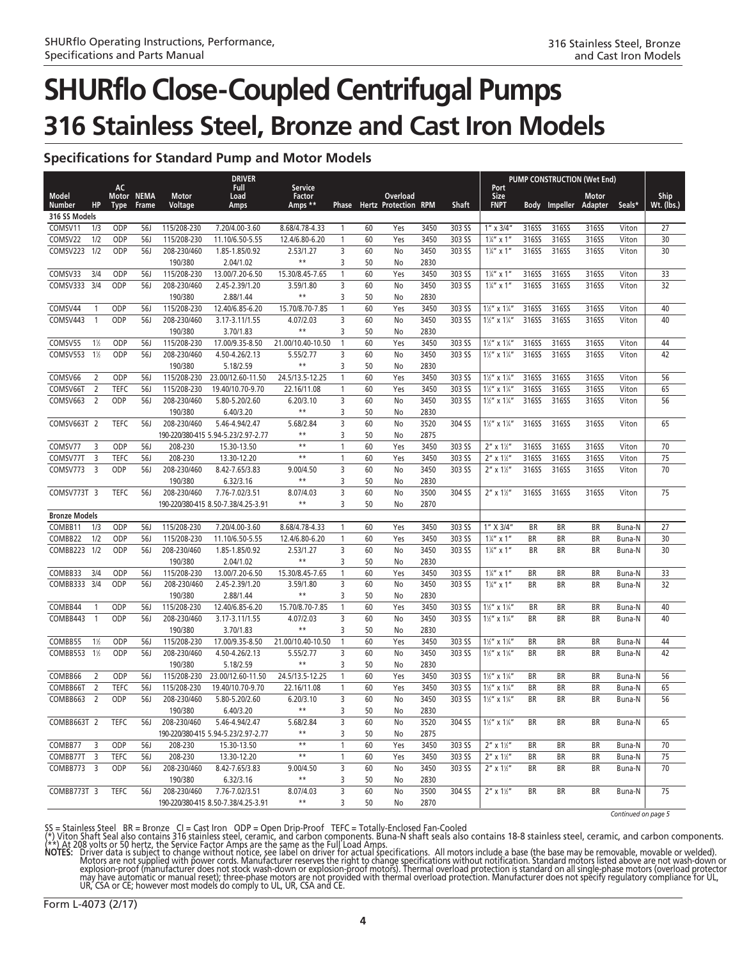### **Specifications for Standard Pump and Motor Models**

|                               |                         |                            |                      |                            | <b>DRIVER</b>                       |                                |                     |          |                                         |              |                  | <b>PUMP CONSTRUCTION (Wet End)</b><br>Port                                 |                 |                  |              |                     |                    |
|-------------------------------|-------------------------|----------------------------|----------------------|----------------------------|-------------------------------------|--------------------------------|---------------------|----------|-----------------------------------------|--------------|------------------|----------------------------------------------------------------------------|-----------------|------------------|--------------|---------------------|--------------------|
| <b>Model</b><br><b>Number</b> | HP                      | AC<br>Motor<br><b>Type</b> | <b>NEMA</b><br>Frame | Motor<br>Voltage           | Full<br>Load<br>Amps                | Service<br>Factor<br>Amps **   | Phase               |          | Overload<br><b>Hertz Protection RPM</b> |              | Shaft            | Size<br><b>FNPT</b>                                                        | <b>Body</b>     | Impeller Adapter | <b>Motor</b> | Seals*              | Ship<br>Wt. (lbs.) |
| 316 SS Models                 |                         |                            |                      |                            |                                     |                                |                     |          |                                         |              |                  |                                                                            |                 |                  |              |                     |                    |
| COMSV11                       | 1/3                     | ODP                        | 56J                  | 115/208-230                | 7.20/4.00-3.60                      | 8.68/4.78-4.33                 | 1                   | 60       | Yes                                     | 3450         | 303 SS           | $1'' \times 3/4''$                                                         | 316SS           | 316SS            | 316SS        | Viton               | 27                 |
| COMSV22                       | 1/2                     | ODP                        | 56J                  | 115/208-230                | 11.10/6.50-5.55                     | 12.4/6.80-6.20                 | $\mathbf{1}$        | 60       | Yes                                     | 3450         | 303 SS           | $1\frac{1}{4}$ " x 1"                                                      | 316SS           | 316SS            | 316SS        | Viton               | 30                 |
| COMSV223                      | 1/2                     | ODP                        | 56J                  | 208-230/460                | 1.85-1.85/0.92                      | 2.53/1.27                      | 3                   | 60       | No                                      | 3450         | 303 SS           | $1\frac{1}{4}$ " x 1"                                                      | 316SS           | 316SS            | 316SS        | Viton               | 30                 |
|                               |                         |                            |                      | 190/380                    | 2.04/1.02                           | $**$                           | 3                   | 50       | No                                      | 2830         |                  |                                                                            |                 |                  |              |                     |                    |
| COMSV33                       | 3/4                     | ODP                        | 56J                  | 115/208-230                | 13.00/7.20-6.50                     | 15.30/8.45-7.65                | $\mathbf{1}$        | 60       | Yes                                     | 3450         | 303 SS           | $1\frac{1}{4}$ " x 1"                                                      | 316SS           | 316SS            | 316SS        | Viton               | 33                 |
| COMSV333                      | 3/4                     | ODP                        | 56J                  | 208-230/460                | 2.45-2.39/1.20                      | 3.59/1.80                      | 3                   | 60       | No                                      | 3450         | 303 SS           | $1\frac{1}{4}$ " x 1"                                                      | 316SS           | 316SS            | 316SS        | Viton               | 32                 |
|                               |                         |                            |                      | 190/380                    | 2.88/1.44                           | $***$                          | 3                   | 50       | No                                      | 2830         |                  |                                                                            |                 |                  |              |                     |                    |
| COMSV44                       |                         | ODP                        | 56J                  | 115/208-230                | 12.40/6.85-6.20                     | 15.70/8.70-7.85                | $\overline{1}$      | 60       | Yes                                     | 3450         | 303 SS           | $1\frac{1}{2}$ " x $1\frac{1}{4}$ "                                        | 316SS           | 316SS            | 316SS        | Viton               | 40                 |
| COMSV443                      | $\mathbf{1}$            | ODP                        | 56J                  | 208-230/460                | 3.17-3.11/1.55                      | 4.07/2.03                      | 3                   | 60       | No                                      | 3450         | 303 SS           | $1\frac{1}{2}$ " x $1\frac{1}{4}$ "                                        | 316SS           | 316SS            | 316SS        | Viton               | 40                 |
|                               |                         |                            |                      | 190/380                    | 3.70/1.83                           | $**$                           | 3                   | 50       | No                                      | 2830         |                  |                                                                            |                 |                  |              |                     |                    |
| COMSV55                       | $1\%$                   | ODP                        | 56J                  | 115/208-230                | 17.00/9.35-8.50                     | 21.00/10.40-10.50              | $\overline{1}$      | 60       | Yes                                     | 3450         | 303 SS           | $1\frac{1}{2}$ " x $1\frac{1}{4}$ "                                        | 316SS           | 316SS            | 316SS        | Viton               | 44                 |
| COMSV553                      | $1\%$                   | ODP                        | 56J                  | 208-230/460                | 4.50-4.26/2.13                      | 5.55/2.77                      | 3                   | 60       | No                                      | 3450         | 303 SS           | $1\frac{1}{2}$ " x $1\frac{1}{4}$ "                                        | 316SS           | 316SS            | 316SS        | Viton               | 42                 |
|                               |                         |                            |                      | 190/380                    | 5.18/2.59                           | $**$                           | 3                   | 50       | No                                      | 2830         |                  |                                                                            |                 |                  |              |                     |                    |
| COMSV66                       | 2                       | ODP                        | 56J                  | 115/208-230                | 23.00/12.60-11.50                   | 24.5/13.5-12.25                | $\mathbf{1}$        | 60       | Yes                                     | 3450         | 303 SS           | $1\frac{1}{2}$ " x $1\frac{1}{4}$ "                                        | 316SS           | 316SS            | 316SS        | Viton               | 56                 |
| COMSV66T                      | $\overline{2}$          | <b>TEFC</b>                | 56J                  | 115/208-230                | 19.40/10.70-9.70                    | 22.16/11.08                    | $\mathbf{1}$        | 60       | Yes                                     | 3450         | 303 SS           | $1\frac{1}{2}$ " x $1\frac{1}{4}$ "                                        | 316SS           | 316SS            | 316SS        | Viton               | 65                 |
| COMSV663                      | $\overline{2}$          | ODP                        | 56J                  | 208-230/460                | 5.80-5.20/2.60                      | 6.20/3.10                      | 3                   | 60       | No                                      | 3450         | 303 SS           | $1\frac{1}{2}$ " x $1\frac{1}{4}$ "                                        | 316SS           | 316SS            | 316SS        | Viton               | 56                 |
|                               |                         |                            |                      | 190/380                    | 6.40/3.20                           | $***$                          | 3                   | 50       | No                                      | 2830         |                  |                                                                            |                 |                  |              |                     |                    |
| COMSV663T 2                   |                         | <b>TEFC</b>                | <b>56J</b>           | 208-230/460                | 5.46-4.94/2.47                      | 5.68/2.84                      | 3                   | 60       | No                                      | 3520         | 304 SS           | $1\frac{1}{2}$ " x $1\frac{1}{4}$ "                                        | 316SS           | 316SS            | 316SS        | Viton               | 65                 |
|                               |                         |                            |                      |                            | 190-220/380-415 5.94-5.23/2.97-2.77 | $***$                          | 3                   | 50       | No                                      | 2875         |                  |                                                                            |                 |                  |              |                     |                    |
| COMSV77                       | 3                       | ODP                        | 56J                  | 208-230                    | 15.30-13.50                         | $**$                           | $\overline{1}$      | 60       | Yes                                     | 3450         | 303 SS           | $2''$ x $1\frac{1}{2}''$                                                   | 316SS           | 316SS            | 316SS        | Viton               | 70                 |
| COMSV77T                      | $\overline{3}$          | <b>TEFC</b>                | 56J                  | 208-230                    | 13.30-12.20                         | $***$                          | $\mathbf{1}$        | 60       | Yes                                     | 3450         | 303 SS           | $2''$ x $1\frac{1}{2}''$                                                   | 316SS           | 316SS            | 316SS        | Viton               | 75                 |
| COMSV773                      | $\overline{3}$          | ODP                        | 56J                  | 208-230/460                | 8.42-7.65/3.83                      | 9.00/4.50                      | 3                   | 60       | No                                      | 3450         | 303 SS           | $2''$ x $1\frac{1}{2}''$                                                   | 316SS           | 316SS            | 316SS        | Viton               | 70                 |
|                               |                         |                            |                      | 190/380                    | 6.32/3.16                           | $**$                           | 3                   | 50       | No                                      | 2830         |                  |                                                                            |                 |                  |              |                     |                    |
| COMSV773T 3                   |                         | <b>TEFC</b>                | 56J                  | 208-230/460                | 7.76-7.02/3.51                      | 8.07/4.03                      | 3                   | 60       | No                                      | 3500         | 304 SS           | $2''$ x $1\frac{1}{2}''$                                                   | 316SS           | 316SS            | 316SS        | Viton               | 75                 |
|                               |                         |                            |                      |                            | 190-220/380-415 8.50-7.38/4.25-3.91 | $***$                          | 3                   | 50       | No                                      | 2870         |                  |                                                                            |                 |                  |              |                     |                    |
| <b>Bronze Models</b>          |                         |                            |                      |                            |                                     |                                |                     |          |                                         |              |                  |                                                                            |                 |                  |              |                     |                    |
| COMBB11                       | 1/3                     | ODP                        | 56J                  | 115/208-230                | 7.20/4.00-3.60                      | 8.68/4.78-4.33                 | $\mathbf{1}$        | 60       | Yes                                     | 3450         | 303 SS           | 1" X 3/4"                                                                  | <b>BR</b>       | <b>BR</b>        | BR           | Buna-N              | 27                 |
| COMBB22                       | 1/2                     | ODP                        | <b>56J</b>           | 115/208-230                | 11.10/6.50-5.55                     | 12.4/6.80-6.20                 | $\mathbf{1}$        | 60       | Yes                                     | 3450         | 303 SS           | $1\frac{1}{4}$ " x 1"                                                      | BR              | ΒR               | BR           | Buna-N              | 30                 |
| COMBB223                      | 1/2                     | ODP                        | 56J                  | 208-230/460                | 1.85-1.85/0.92                      | 2.53/1.27                      | 3                   | 60       | No                                      | 3450         | 303 SS           | $1\frac{1}{4}$ " x 1"                                                      | BR              | BR               | BR           | Buna-N              | 30                 |
|                               |                         |                            |                      | 190/380                    | 2.04/1.02                           |                                | 3                   | 50       | No                                      | 2830         |                  |                                                                            |                 |                  |              |                     |                    |
| COMBB33                       | 3/4                     | ODP                        | 56J                  | 115/208-230                | 13.00/7.20-6.50                     | 15.30/8.45-7.65                | $\mathbf{1}$        | 60       | Yes                                     | 3450         | 303 SS           | $1\frac{1}{4}$ " x 1"                                                      | BR              | BR               | ΒR           | Buna-N              | 33                 |
| COMBB333                      | 3/4                     | ODP                        | 56J                  | 208-230/460                | 2.45-2.39/1.20                      | 3.59/1.80<br>$**$              | 3                   | 60       | No                                      | 3450         | 303 SS           | $1\frac{1}{4}$ " x 1"                                                      | <b>BR</b>       | BR               | BR           | Buna-N              | 32                 |
|                               |                         |                            |                      | 190/380                    | 2.88/1.44                           |                                | 3                   | 50       | No                                      | 2830         |                  |                                                                            |                 |                  |              |                     |                    |
| COMBB44                       |                         | ODP                        | 56J                  | 115/208-230                | 12.40/6.85-6.20                     | 15.70/8.70-7.85                | $\overline{1}$      | 60       | Yes                                     | 3450         | 303 SS           | $1\frac{1}{2}$ " x $1\frac{1}{4}$ "                                        | BR              | BR               | ΒR           | Buna-N              | 40<br>40           |
| COMBB443                      | $\overline{1}$          | ODP                        | 56J                  | 208-230/460<br>190/380     | 3.17-3.11/1.55                      | 4.07/2.03<br>$***$             | 3                   | 60       | No                                      | 3450         | 303 SS           | $1\frac{1}{2}$ " x $1\frac{1}{4}$ "                                        | <b>BR</b>       | BR               | BR           | Buna-N              |                    |
|                               |                         |                            |                      |                            | 3.70/1.83                           |                                | 3<br>$\overline{1}$ | 50<br>60 | No                                      | 2830         |                  |                                                                            |                 |                  |              |                     |                    |
| COMBB55<br>COMBB553           | $1\%$<br>$1\frac{1}{2}$ | ODP<br>ODP                 | 56J<br>56J           | 115/208-230<br>208-230/460 | 17.00/9.35-8.50<br>4.50-4.26/2.13   | 21.00/10.40-10.50<br>5.55/2.77 | 3                   | 60       | Yes<br>No                               | 3450<br>3450 | 303 SS<br>303 SS | $1\frac{1}{2}$ " x $1\frac{1}{4}$ "<br>$1\frac{1}{2}$ " x $1\frac{1}{4}$ " | BR<br><b>BR</b> | BR<br>BR         | ΒR<br>BR     | Buna-N<br>Buna-N    | 44<br>42           |
|                               |                         |                            |                      | 190/380                    | 5.18/2.59                           | $**$                           | 3                   | 50       | No                                      | 2830         |                  |                                                                            |                 |                  |              |                     |                    |
| COMBB66                       | $\overline{2}$          | ODP                        | 56J                  | 115/208-230                | 23.00/12.60-11.50                   | 24.5/13.5-12.25                | $\mathbf{1}$        | 60       | Yes                                     | 3450         | 303 SS           | $1\frac{1}{2}$ " x $1\frac{1}{4}$ "                                        | BR              | BR               | ΒR           | Buna-N              | 56                 |
| COMBB66T                      | $\overline{2}$          | <b>TEFC</b>                | <b>56J</b>           | 115/208-230                | 19.40/10.70-9.70                    | 22.16/11.08                    | $\mathbf{1}$        | 60       | Yes                                     | 3450         | 303 SS           | $1\frac{1}{2}$ " x $1\frac{1}{4}$ "                                        | BR              | BR               | BR           | Buna-N              | 65                 |
| COMBB663                      | $\overline{2}$          | ODP                        | <b>56J</b>           | 208-230/460                | 5.80-5.20/2.60                      | 6.20/3.10                      | 3                   | 60       | No                                      | 3450         | 303 SS           | $1\frac{1}{2}$ " x $1\frac{1}{4}$ "                                        | <b>BR</b>       | BR               | BR           | Buna-N              | 56                 |
|                               |                         |                            |                      | 190/380                    | 6.40/3.20                           | $***$                          | 3                   | 50       | No                                      | 2830         |                  |                                                                            |                 |                  |              |                     |                    |
| COMBB663T 2                   |                         | TEFC                       | 56J                  | 208-230/460                | 5.46-4.94/2.47                      | 5.68/2.84                      | 3                   | 60       | No                                      | 3520         | 304 SS           | $1\frac{1}{2}$ " x $1\frac{1}{4}$ "                                        | BR              | BR               | BR           | Buna-N              | 65                 |
|                               |                         |                            |                      |                            | 190-220/380-415 5.94-5.23/2.97-2.77 | $***$                          | 3                   | 50       | No                                      | 2875         |                  |                                                                            |                 |                  |              |                     |                    |
| COMBB77                       | 3                       | ODP                        | 56J                  | 208-230                    | 15.30-13.50                         | $***$                          | $\mathbf{1}$        | 60       | Yes                                     | 3450         | 303 SS           | $2''$ x $1\frac{1}{2}''$                                                   | BR              | BR               | ΒR           | Buna-N              | 70                 |
| COMBB77T                      | $\overline{3}$          | <b>TEFC</b>                | 56J                  | 208-230                    | 13.30-12.20                         | $\star\star$                   | $\mathbf{1}$        | 60       | Yes                                     | 3450         | 303 SS           | $2''$ x $1\frac{1}{2}''$                                                   | BR              | BR               | ΒR           | Buna-N              | 75                 |
| COMBB773                      | $\overline{\mathbf{3}}$ | ODP                        | 56J                  | 208-230/460                | 8.42-7.65/3.83                      | 9.00/4.50                      | 3                   | 60       | No                                      | 3450         | 303 SS           | $2''$ x $1\frac{1}{2}''$                                                   | BR              | BR               | ΒR           | Buna-N              | 70                 |
|                               |                         |                            |                      | 190/380                    | 6.32/3.16                           | $***$                          | 3                   | 50       | No                                      | 2830         |                  |                                                                            |                 |                  |              |                     |                    |
| COMBB773T 3                   |                         | <b>TEFC</b>                | 56J                  | 208-230/460                | 7.76-7.02/3.51                      | 8.07/4.03                      | 3                   | 60       | No                                      | 3500         | 304 SS           | $2''$ x $1\frac{1}{2}''$                                                   | BR              | BR               | BR           | Buna-N              | 75                 |
|                               |                         |                            |                      |                            | 190-220/380-415 8.50-7.38/4.25-3.91 | $***$                          | 3                   | 50       | No                                      | 2870         |                  |                                                                            |                 |                  |              |                     |                    |
|                               |                         |                            |                      |                            |                                     |                                |                     |          |                                         |              |                  |                                                                            |                 |                  |              | Continued on page 5 |                    |

SS = Stainless Steel BR = Bronze CI = Cast Iron ODP = Open Drip-Proof TEFC = Totally-Enclosed Fan-Cooled<br>(\*) Viton Shaft Seal also contains 316 stainless steel, ceramic, and carbon components. Buna-N shaft seals also conta

NOTES: Driver data is subject to change without notice, see label on driver for actual specifications. All motors include a base (the base may be removable, movable or welded).<br>Motors are not supplied with power cords. Man explosion-proof (manufacturer does not stock wash-down or explosion-proof motors). Thermal overload protection is standard on all single-phase motors (overload protector<br>may have automatic or manual reset); three-phase mot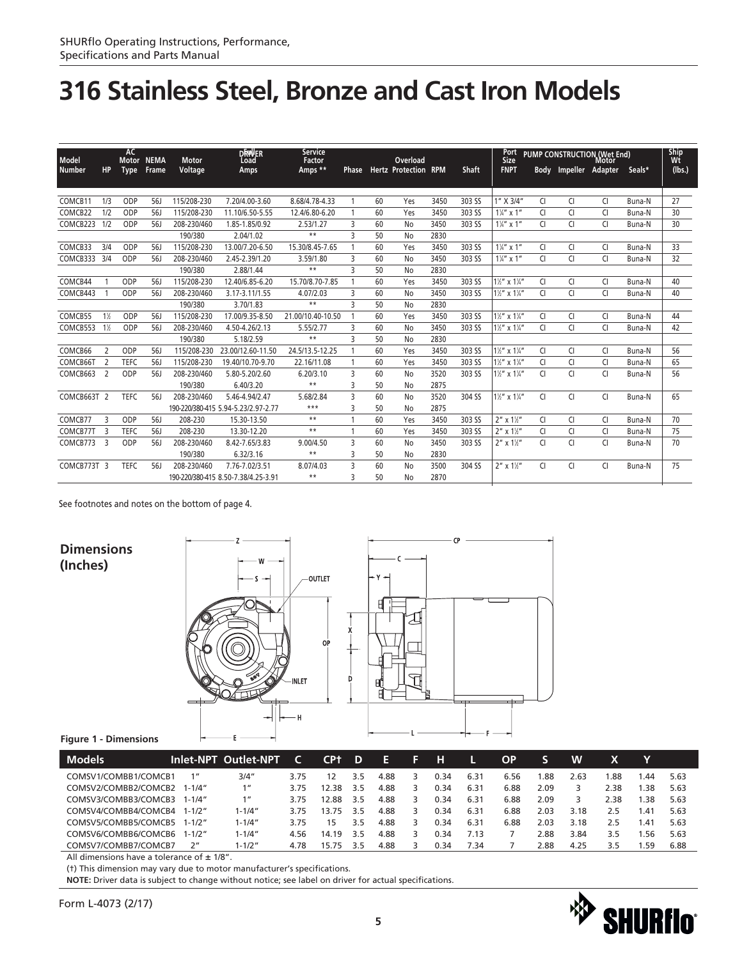| Model               |                          | AC<br><b>Motor</b> | <b>NEMA</b>  | <b>Motor</b> | <b>DRWER</b><br>Load                | Service<br>Factor |                |    | Overload                    |      |              | Port<br>Size                        |                |                       | <b>PUMP CONSTRUCTION (Wet End)</b><br>Motor |        | Ship<br>Wt |
|---------------------|--------------------------|--------------------|--------------|--------------|-------------------------------------|-------------------|----------------|----|-----------------------------|------|--------------|-------------------------------------|----------------|-----------------------|---------------------------------------------|--------|------------|
| <b>Number</b>       | <b>HP</b>                | <b>Type</b>        | <b>Frame</b> | Voltage      | Amps                                | Amps **           | Phase          |    | <b>Hertz Protection RPM</b> |      | <b>Shaft</b> | <b>FNPT</b>                         |                | Body Impeller Adapter |                                             | Seals* | (lbs.)     |
|                     |                          |                    |              |              |                                     |                   |                |    |                             |      |              |                                     |                |                       |                                             |        |            |
|                     |                          |                    |              |              |                                     |                   |                |    |                             |      |              |                                     |                |                       |                                             |        |            |
| COMCB <sub>11</sub> | 1/3                      | ODP                | <b>56J</b>   | 115/208-230  | 7.20/4.00-3.60                      | 8.68/4.78-4.33    | 1              | 60 | Yes                         | 3450 | 303 SS       | 1" X 3/4"                           | <b>CI</b>      | CI                    | CI                                          | Buna-N | 27         |
| COMCB22             | 1/2                      | ODP                | 56.          | 115/208-230  | 11.10/6.50-5.55                     | 12.4/6.80-6.20    |                | 60 | Yes                         | 3450 | 303 SS       | $1\frac{1}{4}$ " x 1"               | <b>CI</b>      | CI                    | CI                                          | Buna-N | 30         |
| COMCB223            | 1/2                      | ODP                | 56J          | 208-230/460  | 1.85-1.85/0.92                      | 2.53/1.27         | 3              | 60 | No                          | 3450 | 303 SS       | $1\frac{1}{4}$ " x 1"               | CI             | <b>CI</b>             | CI                                          | Buna-N | 30         |
|                     |                          |                    |              | 190/380      | 2.04/1.02                           | $***$             | 3              | 50 | No                          | 2830 |              |                                     |                |                       |                                             |        |            |
| COMCB33             | 3/4                      | ODP                | 56J          | 115/208-230  | 13.00/7.20-6.50                     | 15.30/8.45-7.65   |                | 60 | Yes                         | 3450 | 303 SS       | $1\frac{1}{4}$ " x 1"               | <b>CI</b>      | <b>CI</b>             | <b>CI</b>                                   | Buna-N | 33         |
| COMCB333 3/4        |                          | ODP                | 56J          | 208-230/460  | 2.45-2.39/1.20                      | 3.59/1.80         | 3              | 60 | No                          | 3450 | 303 SS       | $1\frac{1}{4}$ " x 1"               | <b>CI</b>      | <b>CI</b>             | CI                                          | Buna-N | 32         |
|                     |                          |                    |              | 190/380      | 2.88/1.44                           | $**$              | 3              | 50 | No                          | 2830 |              |                                     |                |                       |                                             |        |            |
| COMCB44             |                          | ODP                | <b>56J</b>   | 115/208-230  | 12.40/6.85-6.20                     | 15.70/8.70-7.85   | 1              | 60 | Yes                         | 3450 | 303 SS       | $1\frac{1}{2}$ " x $1\frac{1}{4}$ " | <b>CI</b>      | CI                    | CI                                          | Buna-N | 40         |
| COMCB443            |                          | ODP                | 56J          | 208-230/460  | 3.17-3.11/1.55                      | 4.07/2.03         | 3              | 60 | No                          | 3450 | 303 SS       | $1\frac{1}{2}$ " x $1\frac{1}{4}$ " | <b>CI</b>      | <b>CI</b>             | CI                                          | Buna-N | 40         |
|                     |                          |                    |              | 190/380      | 3.70/1.83                           | $***$             | ς              | 50 | No                          | 2830 |              |                                     |                |                       |                                             |        |            |
| COMCB55             | $1\%$                    | ODP                | 56.          | 115/208-230  | 17.00/9.35-8.50                     | 21.00/10.40-10.50 |                | 60 | Yes                         | 3450 | 303 SS       | $1\frac{1}{2}$ " x $1\frac{1}{4}$ " | CI             | CI                    | CI                                          | Buna-N | 44         |
| COMCB553            | $1\%$                    | ODP                | 561          | 208-230/460  | 4.50-4.26/2.13                      | 5.55/2.77         | 3              | 60 | No                          | 3450 | 303 SS       | $1\frac{1}{2}$ " x $1\frac{1}{4}$ " | <b>CI</b>      | <b>CI</b>             | CI                                          | Buna-N | 42         |
|                     |                          |                    |              | 190/380      | 5.18/2.59                           | $***$             | 3              | 50 | No                          | 2830 |              |                                     |                |                       |                                             |        |            |
| COMCB66             | 2                        | ODP                | 56J          | 115/208-230  | 23.00/12.60-11.50                   | 24.5/13.5-12.25   | 1              | 60 | Yes                         | 3450 | 303 SS       | $1\frac{1}{2}$ " x $1\frac{1}{4}$ " | CI             | CI                    | CI                                          | Buna-N | 56         |
| COMCB66T            | $\overline{\phantom{0}}$ | <b>TEFC</b>        | 56J          | 115/208-230  | 19.40/10.70-9.70                    | 22.16/11.08       | 1              | 60 | Yes                         | 3450 | 303 SS       | $1\frac{1}{2}$ " x $1\frac{1}{4}$ " | CI             | CI                    | CI                                          | Buna-N | 65         |
| COMCB663            | $\overline{2}$           | ODP                | 56J          | 208-230/460  | 5.80-5.20/2.60                      | 6.20/3.10         | $\overline{3}$ | 60 | No                          | 3520 | 303 SS       | $1\frac{1}{2}$ " x $1\frac{1}{4}$ " | $\overline{C}$ | <b>CI</b>             | CI                                          | Buna-N | 56         |
|                     |                          |                    |              | 190/380      | 6.40/3.20                           | $***$             | 3              | 50 | No                          | 2875 |              |                                     |                |                       |                                             |        |            |
| COMCB663T 2         |                          | <b>TEFC</b>        | 561          | 208-230/460  | 5.46-4.94/2.47                      | 5.68/2.84         | 3              | 60 | No                          | 3520 | 304 SS       | $1\frac{1}{2}$ " x $1\frac{1}{4}$ " | <b>CI</b>      | <b>CI</b>             | <b>CI</b>                                   | Buna-N | 65         |
|                     |                          |                    |              |              | 190-220/380-415 5.94-5.23/2.97-2.77 | $***$             | 3              | 50 | No                          | 2875 |              |                                     |                |                       |                                             |        |            |
| COMCB77             | 3                        | ODP                | <b>56J</b>   | 208-230      | 15.30-13.50                         | $**$              | 1              | 60 | Yes                         | 3450 | 303 SS       | $2''$ x $1\frac{1}{2}''$            | <b>CI</b>      | <b>CI</b>             | <b>CI</b>                                   | Buna-N | 70         |
| COMCB77T            | ्र                       | <b>TEFC</b>        | 56J          | 208-230      | 13.30-12.20                         | $**$              | 1              | 60 | Yes                         | 3450 | 303 SS       | $2''$ x $1\frac{1}{2}''$            | <b>CI</b>      | CI                    | CI                                          | Buna-N | 75         |
| COMCB773            | $\overline{3}$           | ODP                | 56.          | 208-230/460  | 8.42-7.65/3.83                      | 9.00/4.50         | 3              | 60 | No                          | 3450 | 303 SS       | $2''$ x $1\frac{1}{2}''$            | CI             | <b>CI</b>             | CI                                          | Buna-N | 70         |
|                     |                          |                    |              | 190/380      | 6.32/3.16                           | $***$             | 3              | 50 | No                          | 2830 |              |                                     |                |                       |                                             |        |            |
| COMCB773T 3         |                          | <b>TEFC</b>        | 56J          | 208-230/460  | 7.76-7.02/3.51                      | 8.07/4.03         | 3              | 60 | No                          | 3500 | 304 SS       | $2''$ x $1\frac{1}{2}''$            | <b>CI</b>      | CI                    | <b>CI</b>                                   | Buna-N | 75         |
|                     |                          |                    |              |              | 190-220/380-415 8.50-7.38/4.25-3.91 | $***$             | ξ              | 50 | No                          | 2870 |              |                                     |                |                       |                                             |        |            |

See footnotes and notes on the bottom of page 4.



#### **Figure 1 - Dimensions**

| <b>Models</b>        |                    | Inlet-NPT Outlet-NPT |      | CP†   | D   | Æ    | 137 | н    |      | ΟP   |      | w    |      |     |      |
|----------------------|--------------------|----------------------|------|-------|-----|------|-----|------|------|------|------|------|------|-----|------|
| COMSV1/COMBB1/COMCB1 | 1 <sup>''</sup>    | 3/4"                 | 3.75 | 12.   | 3.5 | 4.88 |     | 0.34 | 6.31 | 6.56 | .88  | 2.63 | .88  | .44 | 5.63 |
| COMSV2/COMBB2/COMCB2 | 1-1/4″             | 1 <sup>''</sup>      | 3.75 | 12.38 | 3.5 | 4.88 |     | 0.34 | 6.31 | 6.88 | 2.09 |      | 2.38 | .38 | 5.63 |
| COMSV3/COMBB3/COMCB3 | 1-1/4″             | 1 <sup>II</sup>      | 3.75 | 12.88 | 3.5 | 4.88 |     | 0.34 | 6.31 | 6.88 | 2.09 |      | 2.38 | .38 | 5.63 |
| COMSV4/COMBB4/COMCB4 | $1 - 1/2''$        | $1 - 1/4"$           | 3.75 | 13.75 | 3.5 | 4.88 |     | 0.34 | 6.31 | 6.88 | 2.03 | 3.18 | 2.5  | .41 | 5.63 |
| COMSV5/COMBB5/COMCB5 | $1 - 1/2''$        | $1 - 1/4"$           | 3.75 | 15    | 3.5 | 4.88 |     | 0.34 | 6.31 | 6.88 | 2.03 | 3.18 | 2.5  | -41 | 5.63 |
| COMSV6/COMBB6/COMCB6 | 1-1/2″             | $1 - 1/4"$           | 4.56 | 14.19 | 3.5 | 4.88 |     | 0.34 | 7.13 |      | 2.88 | 3.84 | 3.5  | .56 | 5.63 |
| COMSV7/COMBB7/COMCB7 | $2^{\prime\prime}$ | $1 - 1/2"$           | 4.78 | 15.75 | 35  | 4.88 |     | 0.34 | 7.34 |      | 2.88 | 4.25 | 3.5  | .59 | 6.88 |

All dimensions have a tolerance of  $\pm$  1/8".

(†) This dimension may vary due to motor manufacturer's specifications.

**NOTE:** Driver data is subject to change without notice; see label on driver for actual specifications.

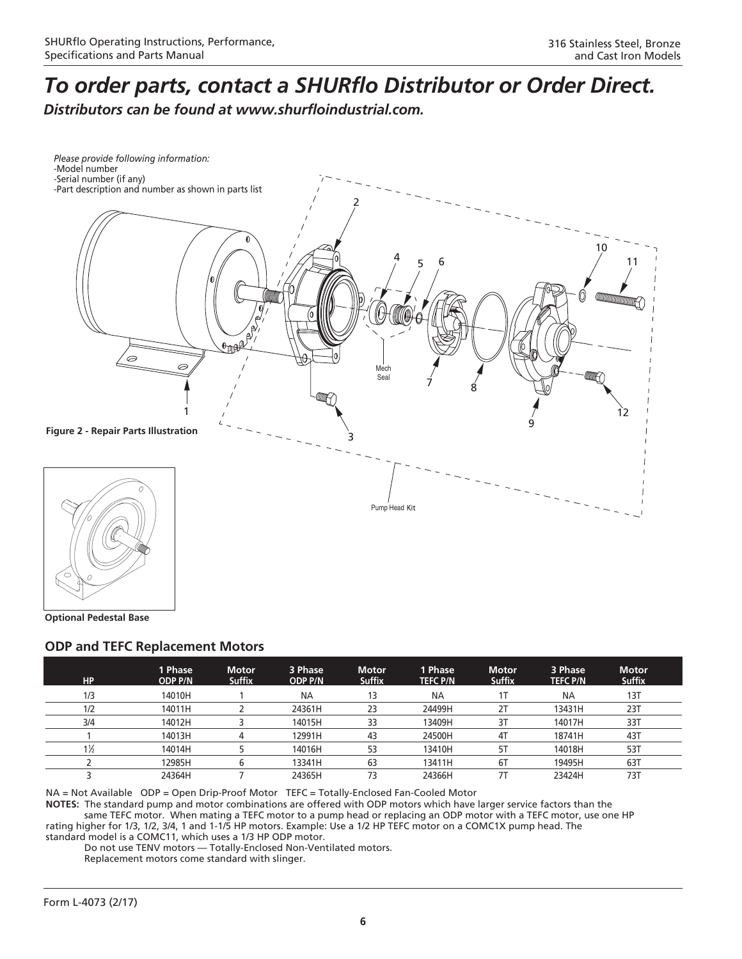### *To order parts, contact a SHURflo Distributor or Order Direct.*

*Distributors can be found at www.shurfloindustrial.com.*



**Optional Pedestal Base**

### **ODP and TEFC Replacement Motors**

| <b>HP</b>      | 1 Phase<br><b>ODP P/N</b> | <b>Motor</b><br><b>Suffix</b> | 3 Phase<br><b>ODP P/N</b> | <b>Motor</b><br><b>Suffix</b> | 1 Phase<br><b>TEFC P/N</b> | <b>Motor</b><br><b>Suffix</b> | 3 Phase<br><b>TEFC P/N</b> | <b>Motor</b><br><b>Suffix</b> |
|----------------|---------------------------|-------------------------------|---------------------------|-------------------------------|----------------------------|-------------------------------|----------------------------|-------------------------------|
| 1/3            | 14010H                    |                               | <b>NA</b>                 | 13                            | <b>NA</b>                  |                               | <b>NA</b>                  | 13T                           |
| 1/2            | 14011H                    |                               | 24361H                    | 23                            | 24499H                     | 2T                            | 13431H                     | 23T                           |
| 3/4            | 14012H                    |                               | 14015H                    | 33                            | 13409H                     | 3T                            | 14017H                     | 33T                           |
|                | 14013H                    |                               | 12991H                    | 43                            | 24500H                     | 4T                            | 18741H                     | 431                           |
| $1\frac{1}{2}$ | 14014H                    |                               | 14016H                    | 53                            | 13410H                     | 51                            | 14018H                     | 53T                           |
|                | 12985H                    |                               | 13341H                    | 63                            | 13411H                     | 6T                            | 19495H                     | 63T                           |
|                | 24364H                    |                               | 24365H                    | 73                            | 24366H                     |                               | 23424H                     | 73T                           |

NA = Not Available ODP = Open Drip-Proof Motor TEFC = Totally-Enclosed Fan-Cooled Motor

**NOTES:** The standard pump and motor combinations are offered with ODP motors which have larger service factors than the same TEFC motor. When mating a TEFC motor to a pump head or replacing an ODP motor with a TEFC motor, use one HP rating higher for 1/3, 1/2, 3/4, 1 and 1-1/5 HP motors. Example: Use a 1/2 HP TEFC motor on a COMC1X pump head. The standard model is a COMC11, which uses a 1/3 HP ODP motor.

Do not use TENV motors — Totally-Enclosed Non-Ventilated motors.

Replacement motors come standard with slinger.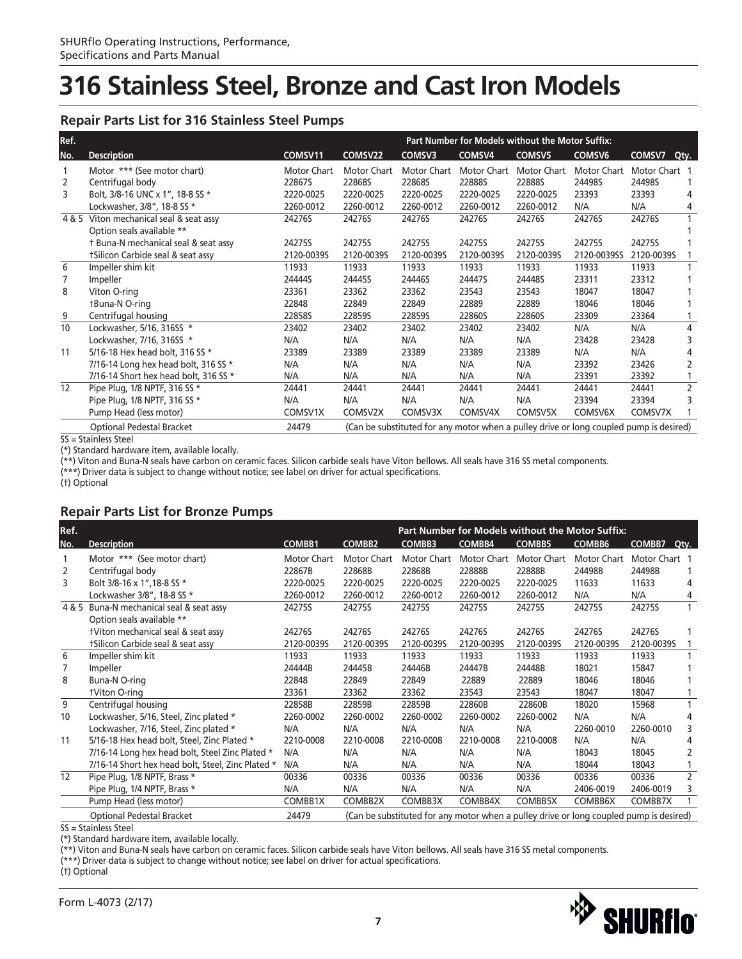#### **Repair Parts List for 316 Stainless Steel Pumps**

| Ref.  |                                       |             |             |                                                                                        |             | Part Number for Models without the Motor Suffix: |                    |                |                |
|-------|---------------------------------------|-------------|-------------|----------------------------------------------------------------------------------------|-------------|--------------------------------------------------|--------------------|----------------|----------------|
| No.   | <b>Description</b>                    | COMSV11     | COMSV22     | COMSV3                                                                                 | COMSV4      | COMSV <sub>5</sub>                               | COMSV <sub>6</sub> | COMSV7<br>Qty. |                |
|       | Motor *** (See motor chart)           | Motor Chart | Motor Chart | Motor Chart                                                                            | Motor Chart | Motor Chart                                      | Motor Chart        | Motor Chart 1  |                |
| 2     | Centrifugal body                      | 22867S      | 22868S      | 22868S                                                                                 | 22888S      | 22888S                                           | 24498S             | 24498S         |                |
| 3     | Bolt, 3/8-16 UNC x 1", 18-8 SS *      | 2220-0025   | 2220-0025   | 2220-0025                                                                              | 2220-0025   | 2220-0025                                        | 23393              | 23393          |                |
|       | Lockwasher, 3/8", 18-8 SS *           | 2260-0012   | 2260-0012   | 2260-0012                                                                              | 2260-0012   | 2260-0012                                        | N/A                | N/A            | 4              |
| 4 & 5 | Viton mechanical seal & seat assy     | 24276S      | 24276S      | 24276S                                                                                 | 24276S      | 24276S                                           | 24276S             | 24276S         |                |
|       | Option seals available **             |             |             |                                                                                        |             |                                                  |                    |                |                |
|       | t Buna-N mechanical seal & seat assy  | 24275S      | 24275S      | 24275S                                                                                 | 24275S      | 24275S                                           | 24275S             | 24275S         |                |
|       | tSilicon Carbide seal & seat assy     | 2120-0039S  | 2120-00395  | 2120-00395                                                                             | 2120-00395  | 2120-00395                                       | 2120-0039SS        | 2120-00395     |                |
| 6     | Impeller shim kit                     | 11933       | 11933       | 11933                                                                                  | 11933       | 11933                                            | 11933              | 11933          |                |
| 7     | Impeller                              | 24444S      | 24445S      | 24446S                                                                                 | 24447S      | 24448S                                           | 23311              | 23312          |                |
| 8     | Viton O-ring                          | 23361       | 23362       | 23362                                                                                  | 23543       | 23543                                            | 18047              | 18047          |                |
|       | <b>tBuna-N O-ring</b>                 | 22848       | 22849       | 22849                                                                                  | 22889       | 22889                                            | 18046              | 18046          |                |
| 9     | Centrifugal housing                   | 22858S      | 22859S      | 22859S                                                                                 | 22860S      | 22860S                                           | 23309              | 23364          |                |
| 10    | Lockwasher, 5/16, 316SS *             | 23402       | 23402       | 23402                                                                                  | 23402       | 23402                                            | N/A                | N/A            | 4              |
|       | Lockwasher, 7/16, 316SS *             | N/A         | N/A         | N/A                                                                                    | N/A         | N/A                                              | 23428              | 23428          |                |
| 11    | 5/16-18 Hex head bolt, 316 SS *       | 23389       | 23389       | 23389                                                                                  | 23389       | 23389                                            | N/A                | N/A            |                |
|       | 7/16-14 Long hex head bolt, 316 SS *  | N/A         | N/A         | N/A                                                                                    | N/A         | N/A                                              | 23392              | 23426          | 2              |
|       | 7/16-14 Short hex head bolt, 316 SS * | N/A         | N/A         | N/A                                                                                    | N/A         | N/A                                              | 23391              | 23392          |                |
| 12    | Pipe Plug, 1/8 NPTF, 316 SS *         | 24441       | 24441       | 24441                                                                                  | 24441       | 24441                                            | 24441              | 24441          | $\overline{2}$ |
|       | Pipe Plug, 1/8 NPTF, 316 SS *         | N/A         | N/A         | N/A                                                                                    | N/A         | N/A                                              | 23394              | 23394          |                |
|       | Pump Head (less motor)                | COMSV1X     | COMSV2X     | COMSV3X                                                                                | COMSV4X     | COMSV5X                                          | COMSV6X            | COMSV7X        |                |
|       | <b>Optional Pedestal Bracket</b>      | 24479       |             | (Can be substituted for any motor when a pulley drive or long coupled pump is desired) |             |                                                  |                    |                |                |

SS = Stainless Steel

(\*) Standard hardware item, available locally.

(\*\*) Viton and Buna-N seals have carbon on ceramic faces. Silicon carbide seals have Viton bellows. All seals have 316 SS metal components.

(\*\*\*) Driver data is subject to change without notice; see label on driver for actual specifications.

(†) Optional

### **Repair Parts List for Bronze Pumps**

| Ref.  |                                                   |             |               |                                                                                        |               |               | Part Number for Models without the Motor Suffix: |               |                |
|-------|---------------------------------------------------|-------------|---------------|----------------------------------------------------------------------------------------|---------------|---------------|--------------------------------------------------|---------------|----------------|
| No.   | <b>Description</b>                                | COMBB1      | <b>COMBB2</b> | <b>COMBB3</b>                                                                          | <b>COMBB4</b> | <b>COMBB5</b> | COMBB6                                           | COMBB7        | Qty.           |
|       | Motor *** (See motor chart)                       | Motor Chart | Motor Chart   | Motor Chart                                                                            | Motor Chart   | Motor Chart   | Motor Chart                                      | Motor Chart 1 |                |
| 2     | Centrifugal body                                  | 22867B      | 22868B        | 22868B                                                                                 | 22888B        | 22888B        | 24498B                                           | 24498B        |                |
| 3     | Bolt 3/8-16 x 1", 18-8 SS *                       | 2220-0025   | 2220-0025     | 2220-0025                                                                              | 2220-0025     | 2220-0025     | 11633                                            | 11633         | 4              |
|       | Lockwasher 3/8", 18-8 SS *                        | 2260-0012   | 2260-0012     | 2260-0012                                                                              | 2260-0012     | 2260-0012     | N/A                                              | N/A           | 4              |
| 4 & 5 | Buna-N mechanical seal & seat assy                | 24275S      | 24275S        | 24275S                                                                                 | 24275S        | 24275S        | 24275S                                           | 24275S        | 1              |
|       | Option seals available **                         |             |               |                                                                                        |               |               |                                                  |               |                |
|       | tViton mechanical seal & seat assy                | 24276S      | 24276S        | 24276S                                                                                 | 24276S        | 24276S        | 24276S                                           | 24276S        |                |
|       | tSilicon Carbide seal & seat assy                 | 2120-0039S  | 2120-0039S    | 2120-0039S                                                                             | 2120-0039S    | 2120-00395    | 2120-0039S                                       | 2120-00395    |                |
| 6     | Impeller shim kit                                 | 11933       | 11933         | 11933                                                                                  | 11933         | 11933         | 11933                                            | 11933         |                |
| 7     | Impeller                                          | 24444B      | 24445B        | 24446B                                                                                 | 24447B        | 24448B        | 18021                                            | 15847         |                |
| 8     | Buna-N O-ring                                     | 22848       | 22849         | 22849                                                                                  | 22889         | 22889         | 18046                                            | 18046         |                |
|       | <b>tViton O-ring</b>                              | 23361       | 23362         | 23362                                                                                  | 23543         | 23543         | 18047                                            | 18047         |                |
| 9     | Centrifugal housing                               | 22858B      | 22859B        | 22859B                                                                                 | 22860B        | 22860B        | 18020                                            | 15968         |                |
| 10    | Lockwasher, 5/16, Steel, Zinc plated *            | 2260-0002   | 2260-0002     | 2260-0002                                                                              | 2260-0002     | 2260-0002     | N/A                                              | N/A           | 4              |
|       | Lockwasher, 7/16, Steel, Zinc plated *            | N/A         | N/A           | N/A                                                                                    | N/A           | N/A           | 2260-0010                                        | 2260-0010     | 3              |
| 11    | 5/16-18 Hex head bolt, Steel, Zinc Plated *       | 2210-0008   | 2210-0008     | 2210-0008                                                                              | 2210-0008     | 2210-0008     | N/A                                              | N/A           | 4              |
|       | 7/16-14 Long hex head bolt, Steel Zinc Plated *   | N/A         | N/A           | N/A                                                                                    | N/A           | N/A           | 18043                                            | 18045         | 2              |
|       | 7/16-14 Short hex head bolt, Steel, Zinc Plated * | N/A         | N/A           | N/A                                                                                    | N/A           | N/A           | 18044                                            | 18043         |                |
| 12    | Pipe Plug, 1/8 NPTF, Brass *                      | 00336       | 00336         | 00336                                                                                  | 00336         | 00336         | 00336                                            | 00336         | $\overline{2}$ |
|       | Pipe Plug, 1/4 NPTF, Brass *                      | N/A         | N/A           | N/A                                                                                    | N/A           | N/A           | 2406-0019                                        | 2406-0019     | 3              |
|       | Pump Head (less motor)                            | COMBB1X     | COMBB2X       | COMBB3X                                                                                | COMBB4X       | COMBB5X       | COMBB6X                                          | COMBB7X       |                |
|       | <b>Optional Pedestal Bracket</b>                  | 24479       |               | (Can be substituted for any motor when a pulley drive or long coupled pump is desired) |               |               |                                                  |               |                |

SS = Stainless Steel

(\*) Standard hardware item, available locally.

(\*\*) Viton and Buna-N seals have carbon on ceramic faces. Silicon carbide seals have Viton bellows. All seals have 316 SS metal components.

(\*\*\*) Driver data is subject to change without notice; see label on driver for actual specifications.

(†) Optional

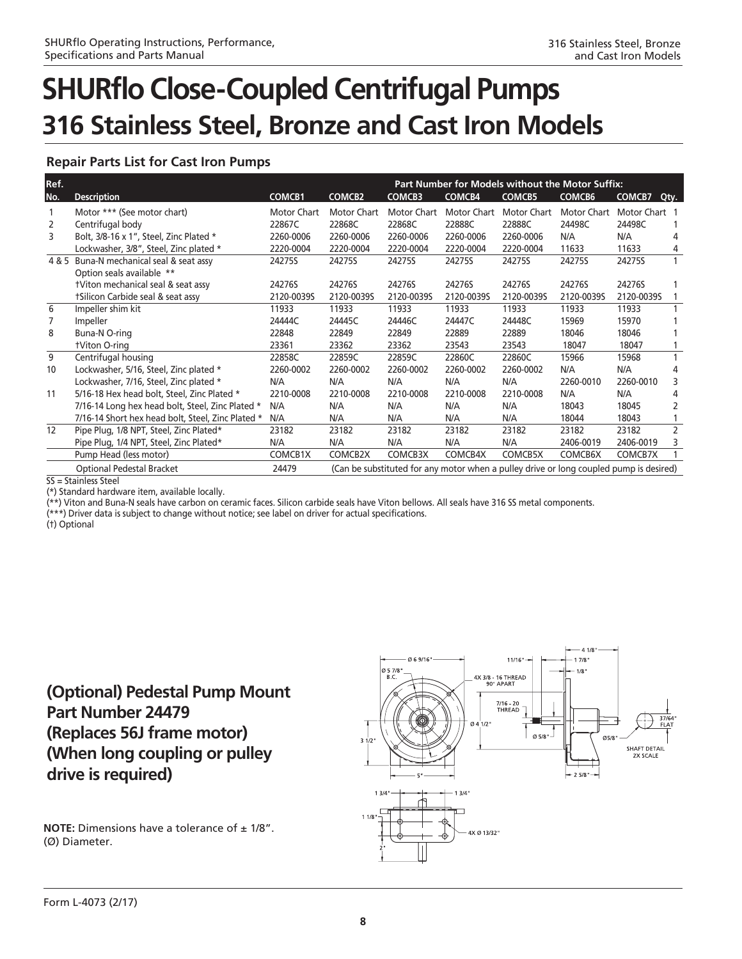### **Repair Parts List for Cast Iron Pumps**

| Ref. |                                                   |                    |                    |                                                                                        |               | Part Number for Models without the Motor Suffix: |               |               |                |
|------|---------------------------------------------------|--------------------|--------------------|----------------------------------------------------------------------------------------|---------------|--------------------------------------------------|---------------|---------------|----------------|
| No.  | <b>Description</b>                                | <b>COMCB1</b>      | <b>COMCB2</b>      | <b>COMCB3</b>                                                                          | <b>COMCB4</b> | <b>COMCB5</b>                                    | <b>COMCB6</b> | COMCB7        | Qty.           |
|      | Motor *** (See motor chart)                       | <b>Motor Chart</b> | <b>Motor Chart</b> | <b>Motor Chart</b>                                                                     | Motor Chart   | Motor Chart                                      | Motor Chart   | Motor Chart 1 |                |
| 2    | Centrifugal body                                  | 22867C             | 22868C             | 22868C                                                                                 | 22888C        | 22888C                                           | 24498C        | 24498C        |                |
| 3    | Bolt, 3/8-16 x 1", Steel, Zinc Plated *           | 2260-0006          | 2260-0006          | 2260-0006                                                                              | 2260-0006     | 2260-0006                                        | N/A           | N/A           | 4              |
|      | Lockwasher, 3/8", Steel, Zinc plated *            | 2220-0004          | 2220-0004          | 2220-0004                                                                              | 2220-0004     | 2220-0004                                        | 11633         | 11633         | 4              |
|      | 4 & 5 Buna-N mechanical seal & seat assy          | 24275S             | 24275S             | 24275S                                                                                 | 24275S        | 24275S                                           | 24275S        | 24275S        |                |
|      | Option seals available **                         |                    |                    |                                                                                        |               |                                                  |               |               |                |
|      | tViton mechanical seal & seat assy                | 24276S             | 24276S             | 24276S                                                                                 | 24276S        | 24276S                                           | 24276S        | 24276S        |                |
|      | tSilicon Carbide seal & seat assy                 | 2120-00395         | 2120-0039S         | 2120-0039S                                                                             | 2120-0039S    | 2120-00395                                       | 2120-0039S    | 2120-0039S    |                |
| 6    | Impeller shim kit                                 | 11933              | 11933              | 11933                                                                                  | 11933         | 11933                                            | 11933         | 11933         |                |
| 7    | Impeller                                          | 24444C             | 24445C             | 24446C                                                                                 | 24447C        | 24448C                                           | 15969         | 15970         |                |
| 8    | Buna-N O-ring                                     | 22848              | 22849              | 22849                                                                                  | 22889         | 22889                                            | 18046         | 18046         |                |
|      | <b>tViton O-ring</b>                              | 23361              | 23362              | 23362                                                                                  | 23543         | 23543                                            | 18047         | 18047         |                |
| 9    | Centrifugal housing                               | 22858C             | 22859C             | 22859C                                                                                 | 22860C        | 22860C                                           | 15966         | 15968         |                |
| 10   | Lockwasher, 5/16, Steel, Zinc plated *            | 2260-0002          | 2260-0002          | 2260-0002                                                                              | 2260-0002     | 2260-0002                                        | N/A           | N/A           | 4              |
|      | Lockwasher, 7/16, Steel, Zinc plated *            | N/A                | N/A                | N/A                                                                                    | N/A           | N/A                                              | 2260-0010     | 2260-0010     | 3              |
| 11   | 5/16-18 Hex head bolt, Steel, Zinc Plated *       | 2210-0008          | 2210-0008          | 2210-0008                                                                              | 2210-0008     | 2210-0008                                        | N/A           | N/A           | 4              |
|      | 7/16-14 Long hex head bolt, Steel, Zinc Plated *  | N/A                | N/A                | N/A                                                                                    | N/A           | N/A                                              | 18043         | 18045         | 2              |
|      | 7/16-14 Short hex head bolt, Steel, Zinc Plated * | N/A                | N/A                | N/A                                                                                    | N/A           | N/A                                              | 18044         | 18043         |                |
| 12   | Pipe Plug, 1/8 NPT, Steel, Zinc Plated*           | 23182              | 23182              | 23182                                                                                  | 23182         | 23182                                            | 23182         | 23182         | $\overline{2}$ |
|      | Pipe Plug, 1/4 NPT, Steel, Zinc Plated*           | N/A                | N/A                | N/A                                                                                    | N/A           | N/A                                              | 2406-0019     | 2406-0019     | 3              |
|      | Pump Head (less motor)                            | COMCB1X            | COMCB2X            | COMCB3X                                                                                | COMCB4X       | COMCB5X                                          | COMCB6X       | COMCB7X       | $\mathbf{1}$   |
|      | Optional Pedestal Bracket                         | 24479              |                    | (Can be substituted for any motor when a pulley drive or long coupled pump is desired) |               |                                                  |               |               |                |
|      | SS = Stainless Steel                              |                    |                    |                                                                                        |               |                                                  |               |               |                |

(\*) Standard hardware item, available locally.

(\*\*) Viton and Buna-N seals have carbon on ceramic faces. Silicon carbide seals have Viton bellows. All seals have 316 SS metal components.

(\*\*\*) Driver data is subject to change without notice; see label on driver for actual specifications.

(†) Optional

### **(Optional) Pedestal Pump Mount Part Number 24479 (Replaces 56J frame motor) (When long coupling or pulley drive is required)**

**NOTE:** Dimensions have a tolerance of  $\pm$  1/8". (Ø) Diameter.

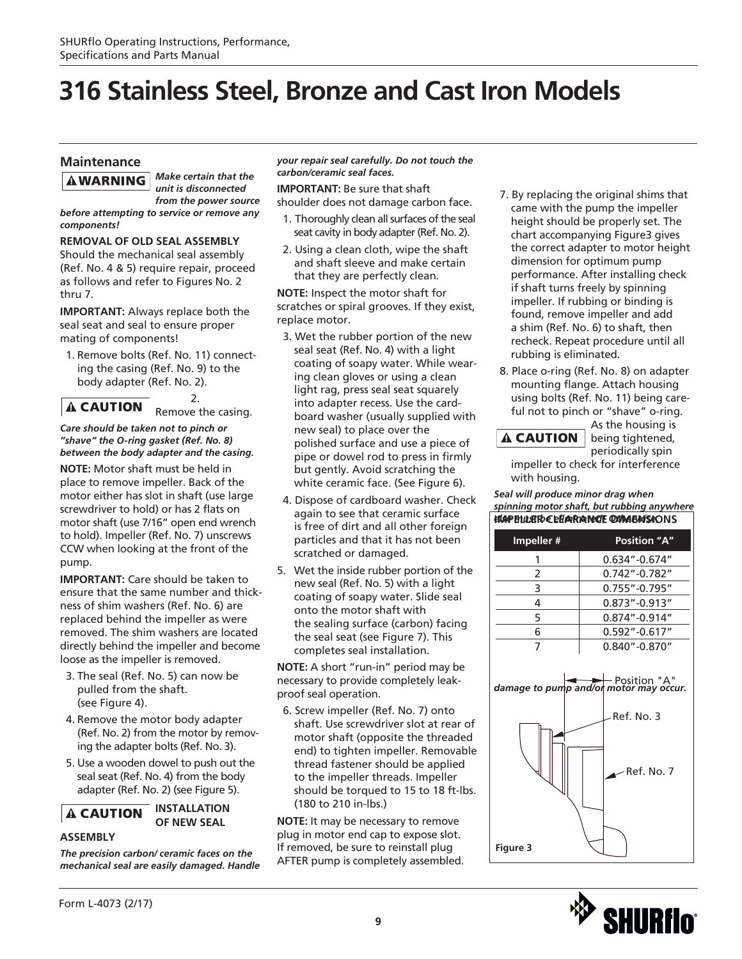### **Maintenance**

**AWARNING** 

*Make certain that the unit is disconnected from the power source* 

*before attempting to service or remove any components!*

#### **REMOVAL OF OLD SEAL ASSEMBLY**

Should the mechanical seal assembly (Ref. No. 4 & 5) require repair, proceed as follows and refer to Figures No. 2 thru 7.

**IMPORTANT:** Always replace both the seal seat and seal to ensure proper mating of components!

1. Remove bolts (Ref. No. 11) connecting the casing (Ref. No. 9) to the body adapter (Ref. No. 2).

2. **A CAUTION** Remove the casing.

*Care should be taken not to pinch or "shave" the O-ring gasket (Ref. No. 8) between the body adapter and the casing.*

**NOTE:** Motor shaft must be held in place to remove impeller. Back of the motor either has slot in shaft (use large screwdriver to hold) or has 2 flats on motor shaft (use 7/16" open end wrench to hold). Impeller (Ref. No. 7) unscrews CCW when looking at the front of the pump.

**IMPORTANT:** Care should be taken to ensure that the same number and thickness of shim washers (Ref. No. 6) are replaced behind the impeller as were removed. The shim washers are located directly behind the impeller and become loose as the impeller is removed.

- 3. The seal (Ref. No. 5) can now be pulled from the shaft. (see Figure 4).
- 4. Remove the motor body adapter (Ref. No. 2) from the motor by removing the adapter bolts (Ref. No. 3).
- 5. Use a wooden dowel to push out the seal seat (Ref. No. 4) from the body adapter (Ref. No. 2) (see Figure 5).

**INSTALLATION OF NEW SEAL**

#### **ASSEMBLY**

**A CAUTION** 

*The precision carbon/ ceramic faces on the mechanical seal are easily damaged. Handle*  *your repair seal carefully. Do not touch the carbon/ceramic seal faces.*

**IMPORTANT:** Be sure that shaft shoulder does not damage carbon face.

- 1. Thoroughly clean all surfaces of the seal seat cavity in body adapter (Ref. No. 2).
- 2. Using a clean cloth, wipe the shaft and shaft sleeve and make certain that they are perfectly clean.

**NOTE:** Inspect the motor shaft for scratches or spiral grooves. If they exist, replace motor.

- 3. Wet the rubber portion of the new seal seat (Ref. No. 4) with a light coating of soapy water. While wearing clean gloves or using a clean light rag, press seal seat squarely into adapter recess. Use the cardboard washer (usually supplied with new seal) to place over the polished surface and use a piece of pipe or dowel rod to press in firmly but gently. Avoid scratching the white ceramic face. (See Figure 6).
- 4. Dispose of cardboard washer. Check again to see that ceramic surface is free of dirt and all other foreign particles and that it has not been scratched or damaged.
- 5. Wet the inside rubber portion of the new seal (Ref. No. 5) with a light coating of soapy water. Slide seal onto the motor shaft with the sealing surface (carbon) facing the seal seat (see Figure 7). This completes seal installation.

**NOTE:** A short "run-in" period may be necessary to provide completely leakproof seal operation.

6. Screw impeller (Ref. No. 7) onto shaft. Use screwdriver slot at rear of motor shaft (opposite the threaded end) to tighten impeller. Removable thread fastener should be applied to the impeller threads. Impeller should be torqued to 15 to 18 ft-lbs. (180 to 210 in-lbs.)

**NOTE:** It may be necessary to remove plug in motor end cap to expose slot. If removed, be sure to reinstall plug AFTER pump is completely assembled.

- 7. By replacing the original shims that came with the pump the impeller height should be properly set. The chart accompanying Figure3 gives the correct adapter to motor height dimension for optimum pump performance. After installing check if shaft turns freely by spinning impeller. If rubbing or binding is found, remove impeller and add a shim (Ref. No. 6) to shaft, then recheck. Repeat procedure until all rubbing is eliminated.
- 8. Place o-ring (Ref. No. 8) on adapter mounting flange. Attach housing using bolts (Ref. No. 11) being careful not to pinch or "shave" o-ring.

As the housing is being tightened,

periodically spin impeller to check for interference with housing.

**A CAUTION** 

*Seal will produce minor drag when spinning motor shaft, but rubbing anywhere else must be eliminated! Otherwise,*  **IMPELLER CLEARANCE DIMENSIONS**



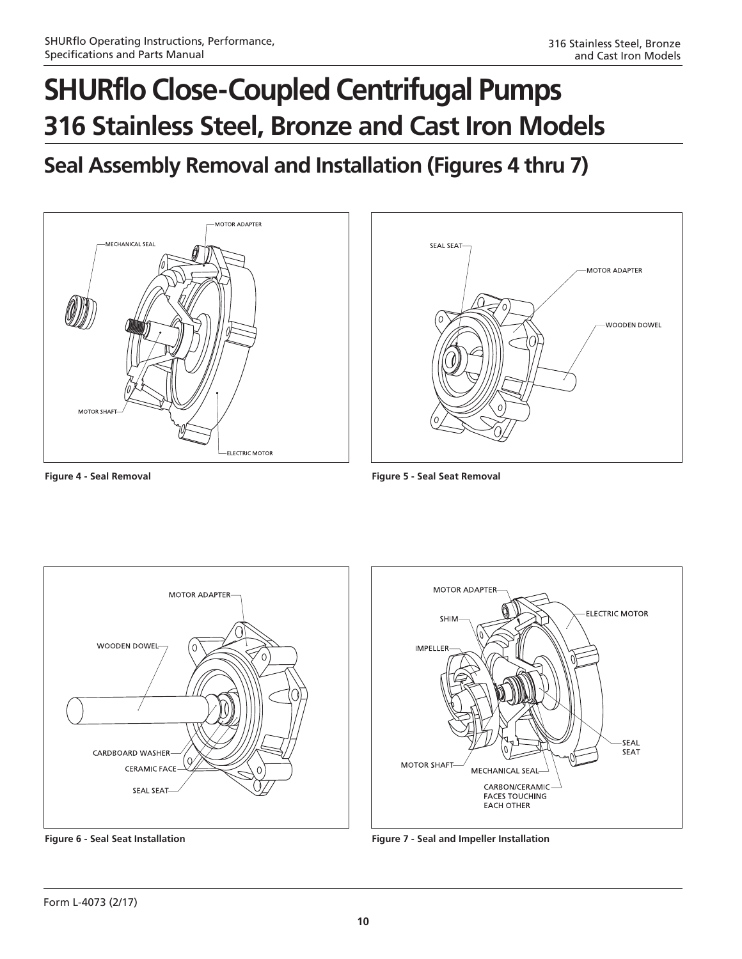### **Seal Assembly Removal and Installation (Figures 4 thru 7)**





**Figure 4 - Seal Removal Figure 5 - Seal Seat Removal**





**Figure 6 - Seal Seat Installation Figure 7 - Seal and Impeller Installation**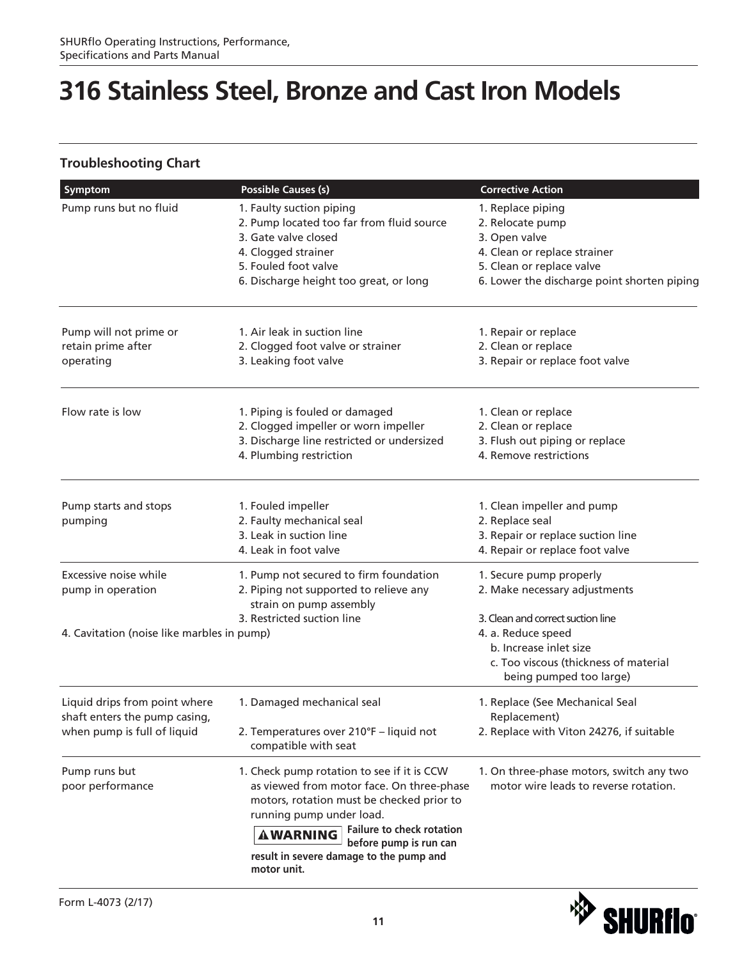### **Troubleshooting Chart**

| Symptom                                                        | <b>Possible Causes (s)</b>                                                                                                                                                                                                                        | <b>Corrective Action</b>                                                          |
|----------------------------------------------------------------|---------------------------------------------------------------------------------------------------------------------------------------------------------------------------------------------------------------------------------------------------|-----------------------------------------------------------------------------------|
| Pump runs but no fluid                                         | 1. Faulty suction piping                                                                                                                                                                                                                          | 1. Replace piping                                                                 |
|                                                                | 2. Pump located too far from fluid source                                                                                                                                                                                                         | 2. Relocate pump                                                                  |
|                                                                | 3. Gate valve closed                                                                                                                                                                                                                              | 3. Open valve                                                                     |
|                                                                | 4. Clogged strainer                                                                                                                                                                                                                               | 4. Clean or replace strainer                                                      |
|                                                                | 5. Fouled foot valve                                                                                                                                                                                                                              | 5. Clean or replace valve                                                         |
|                                                                | 6. Discharge height too great, or long                                                                                                                                                                                                            | 6. Lower the discharge point shorten piping                                       |
| Pump will not prime or                                         | 1. Air leak in suction line                                                                                                                                                                                                                       | 1. Repair or replace                                                              |
| retain prime after                                             | 2. Clogged foot valve or strainer                                                                                                                                                                                                                 | 2. Clean or replace                                                               |
| operating                                                      | 3. Leaking foot valve                                                                                                                                                                                                                             | 3. Repair or replace foot valve                                                   |
| Flow rate is low                                               | 1. Piping is fouled or damaged                                                                                                                                                                                                                    | 1. Clean or replace                                                               |
|                                                                | 2. Clogged impeller or worn impeller                                                                                                                                                                                                              | 2. Clean or replace                                                               |
|                                                                | 3. Discharge line restricted or undersized                                                                                                                                                                                                        | 3. Flush out piping or replace                                                    |
|                                                                | 4. Plumbing restriction                                                                                                                                                                                                                           | 4. Remove restrictions                                                            |
| Pump starts and stops                                          | 1. Fouled impeller                                                                                                                                                                                                                                | 1. Clean impeller and pump                                                        |
| pumping                                                        | 2. Faulty mechanical seal                                                                                                                                                                                                                         | 2. Replace seal                                                                   |
|                                                                | 3. Leak in suction line                                                                                                                                                                                                                           | 3. Repair or replace suction line                                                 |
|                                                                | 4. Leak in foot valve                                                                                                                                                                                                                             | 4. Repair or replace foot valve                                                   |
| Excessive noise while                                          | 1. Pump not secured to firm foundation                                                                                                                                                                                                            | 1. Secure pump properly                                                           |
| pump in operation                                              | 2. Piping not supported to relieve any<br>strain on pump assembly                                                                                                                                                                                 | 2. Make necessary adjustments                                                     |
|                                                                | 3. Restricted suction line                                                                                                                                                                                                                        | 3. Clean and correct suction line                                                 |
| 4. Cavitation (noise like marbles in pump)                     |                                                                                                                                                                                                                                                   | 4. a. Reduce speed                                                                |
|                                                                |                                                                                                                                                                                                                                                   | b. Increase inlet size                                                            |
|                                                                |                                                                                                                                                                                                                                                   | c. Too viscous (thickness of material                                             |
|                                                                |                                                                                                                                                                                                                                                   | being pumped too large)                                                           |
| Liquid drips from point where<br>shaft enters the pump casing, | 1. Damaged mechanical seal                                                                                                                                                                                                                        | 1. Replace (See Mechanical Seal<br>Replacement)                                   |
| when pump is full of liquid                                    | 2. Temperatures over 210°F - liquid not<br>compatible with seat                                                                                                                                                                                   | 2. Replace with Viton 24276, if suitable                                          |
| Pump runs but<br>poor performance                              | 1. Check pump rotation to see if it is CCW<br>as viewed from motor face. On three-phase<br>motors, rotation must be checked prior to<br>running pump under load.<br><b>Failure to check rotation</b><br><b>AWARNING</b><br>before pump is run can | 1. On three-phase motors, switch any two<br>motor wire leads to reverse rotation. |
|                                                                | result in severe damage to the pump and<br>motor unit.                                                                                                                                                                                            |                                                                                   |